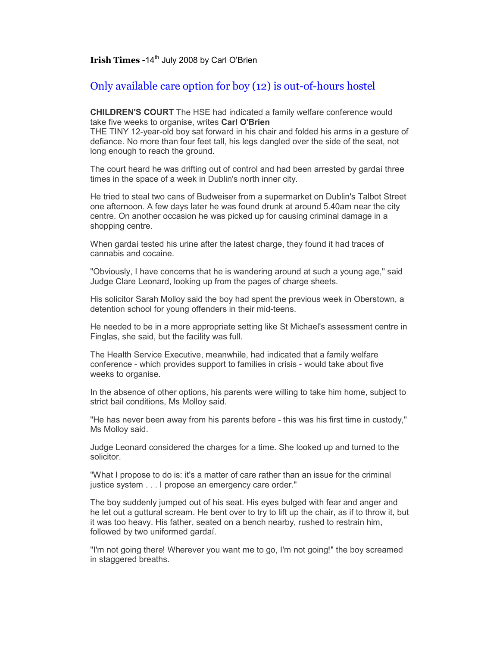## **Irish Times -14<sup>th</sup> July 2008 by Carl O'Brien**

## Only available care option for boy (12) is out-of-hours hostel

**CHILDREN'S COURT** The HSE had indicated a family welfare conference would take five weeks to organise, writes **Carl O'Brien**

THE TINY 12-year-old boy sat forward in his chair and folded his arms in a gesture of defiance. No more than four feet tall, his legs dangled over the side of the seat, not long enough to reach the ground.

The court heard he was drifting out of control and had been arrested by gardaí three times in the space of a week in Dublin's north inner city.

He tried to steal two cans of Budweiser from a supermarket on Dublin's Talbot Street one afternoon. A few days later he was found drunk at around 5.40am near the city centre. On another occasion he was picked up for causing criminal damage in a shopping centre.

When gardaí tested his urine after the latest charge, they found it had traces of cannabis and cocaine.

"Obviously, I have concerns that he is wandering around at such a young age," said Judge Clare Leonard, looking up from the pages of charge sheets.

His solicitor Sarah Molloy said the boy had spent the previous week in Oberstown, a detention school for young offenders in their mid-teens.

He needed to be in a more appropriate setting like St Michael's assessment centre in Finglas, she said, but the facility was full.

The Health Service Executive, meanwhile, had indicated that a family welfare conference - which provides support to families in crisis - would take about five weeks to organise.

In the absence of other options, his parents were willing to take him home, subject to strict bail conditions, Ms Molloy said.

"He has never been away from his parents before - this was his first time in custody," Ms Molloy said.

Judge Leonard considered the charges for a time. She looked up and turned to the solicitor.

"What I propose to do is: it's a matter of care rather than an issue for the criminal justice system . . . I propose an emergency care order."

The boy suddenly jumped out of his seat. His eyes bulged with fear and anger and he let out a guttural scream. He bent over to try to lift up the chair, as if to throw it, but it was too heavy. His father, seated on a bench nearby, rushed to restrain him, followed by two uniformed gardaí.

"I'm not going there! Wherever you want me to go, I'm not going!" the boy screamed in staggered breaths.